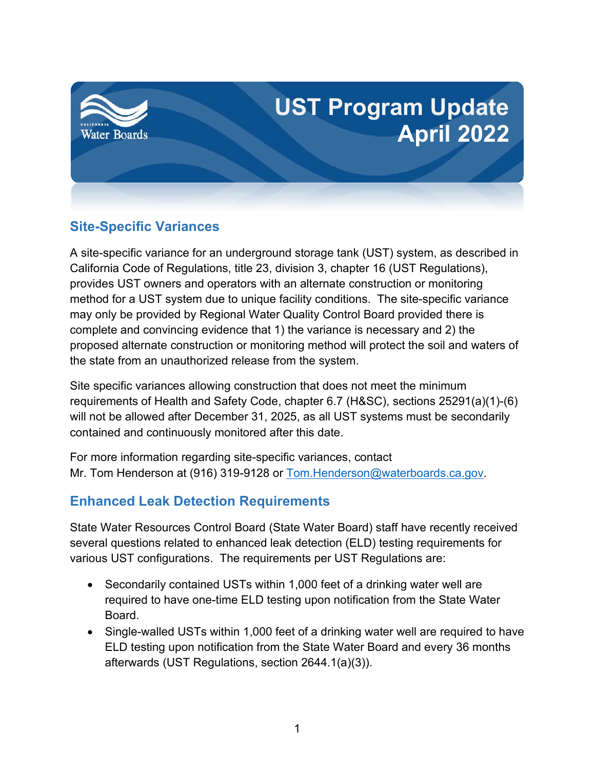

## **Site-Specific Variances**

A site-specific variance for an underground storage tank (UST) system, as described in California Code of Regulations, title 23, division 3, chapter 16 (UST Regulations), provides UST owners and operators with an alternate construction or monitoring method for a UST system due to unique facility conditions. The site-specific variance may only be provided by Regional Water Quality Control Board provided there is complete and convincing evidence that 1) the variance is necessary and 2) the proposed alternate construction or monitoring method will protect the soil and waters of the state from an unauthorized release from the system.

Site specific variances allowing construction that does not meet the minimum requirements of Health and Safety Code, chapter 6.7 (H&SC), sections 25291(a)(1)-(6) will not be allowed after December 31, 2025, as all UST systems must be secondarily contained and continuously monitored after this date.

For more information regarding site-specific variances, contact Mr. Tom Henderson at (916) 319-9128 or [Tom.Henderson@waterboards.ca.gov.](mailto:Tom.Henderson@waterboards.ca.gov)

# **Enhanced Leak Detection Requirements**

State Water Resources Control Board (State Water Board) staff have recently received several questions related to enhanced leak detection (ELD) testing requirements for various UST configurations. The requirements per UST Regulations are:

- Secondarily contained USTs within 1,000 feet of a drinking water well are required to have one-time ELD testing upon notification from the State Water Board.
- · Single-walled USTs within 1,000 feet of a drinking water well are required to have ELD testing upon notification from the State Water Board and every 36 months afterwards (UST Regulations, section 2644.1(a)(3)).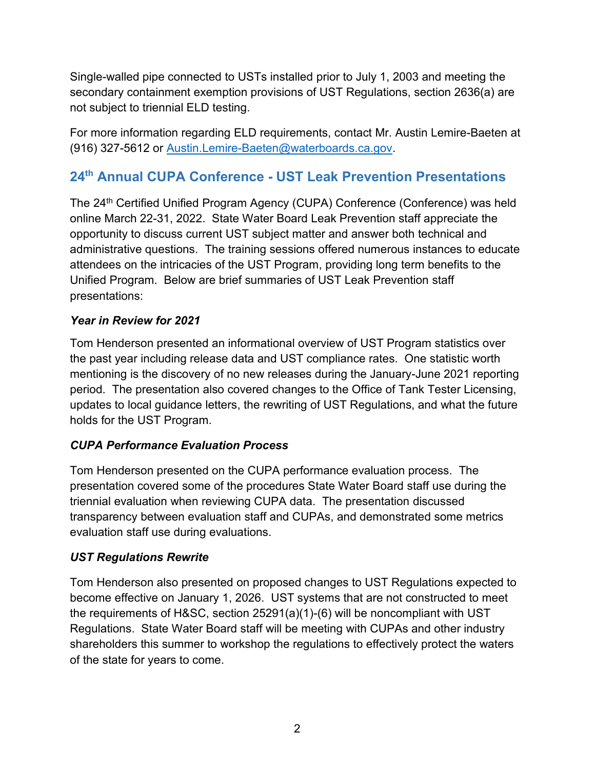Single-walled pipe connected to USTs installed prior to July 1, 2003 and meeting the secondary containment exemption provisions of UST Regulations, section 2636(a) are not subject to triennial ELD testing.

For more information regarding ELD requirements, contact Mr. Austin Lemire-Baeten at (916) 327-5612 or [Austin.Lemire-Baeten@waterboards.ca.gov.](mailto:Austin.Lemire-Baeten@waterboards.ca.gov)

## **24th Annual CUPA Conference - UST Leak Prevention Presentations**

The 24<sup>th</sup> Certified Unified Program Agency (CUPA) Conference (Conference) was held online March 22-31, 2022. State Water Board Leak Prevention staff appreciate the opportunity to discuss current UST subject matter and answer both technical and administrative questions. The training sessions offered numerous instances to educate attendees on the intricacies of the UST Program, providing long term benefits to the Unified Program. Below are brief summaries of UST Leak Prevention staff presentations:

### *Year in Review for 2021*

Tom Henderson presented an informational overview of UST Program statistics over the past year including release data and UST compliance rates. One statistic worth mentioning is the discovery of no new releases during the January-June 2021 reporting period. The presentation also covered changes to the Office of Tank Tester Licensing, updates to local guidance letters, the rewriting of UST Regulations, and what the future holds for the UST Program.

### *CUPA Performance Evaluation Process*

Tom Henderson presented on the CUPA performance evaluation process. The presentation covered some of the procedures State Water Board staff use during the triennial evaluation when reviewing CUPA data. The presentation discussed transparency between evaluation staff and CUPAs, and demonstrated some metrics evaluation staff use during evaluations.

#### *UST Regulations Rewrite*

Tom Henderson also presented on proposed changes to UST Regulations expected to become effective on January 1, 2026. UST systems that are not constructed to meet the requirements of H&SC, section 25291(a)(1)-(6) will be noncompliant with UST Regulations. State Water Board staff will be meeting with CUPAs and other industry shareholders this summer to workshop the regulations to effectively protect the waters of the state for years to come.